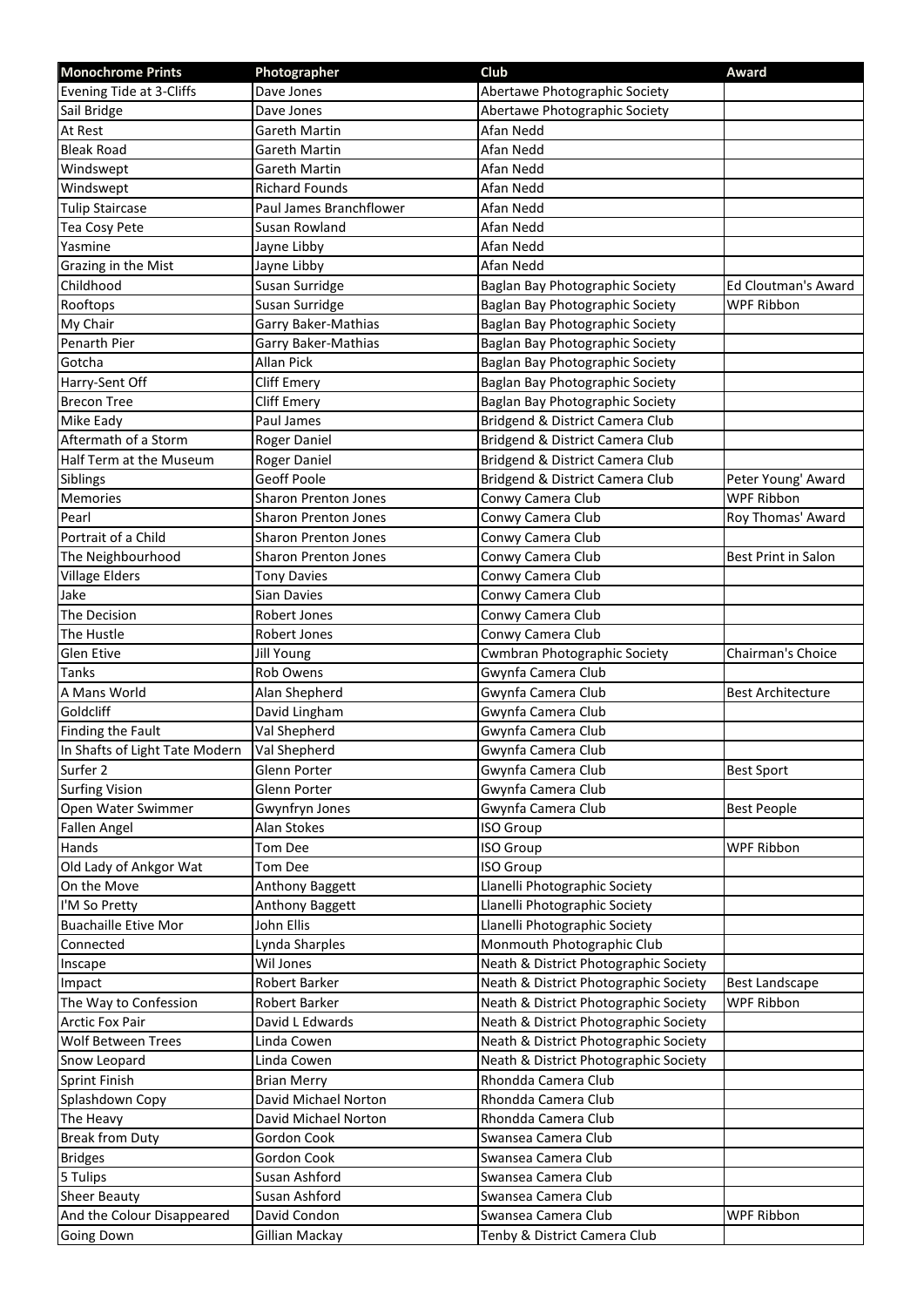| <b>Monochrome Prints</b>       | Photographer                | Club                                  | <b>Award</b>               |
|--------------------------------|-----------------------------|---------------------------------------|----------------------------|
| Evening Tide at 3-Cliffs       | Dave Jones                  | Abertawe Photographic Society         |                            |
| Sail Bridge                    | Dave Jones                  | Abertawe Photographic Society         |                            |
| At Rest                        | Gareth Martin               | Afan Nedd                             |                            |
| <b>Bleak Road</b>              | Gareth Martin               | Afan Nedd                             |                            |
| Windswept                      | <b>Gareth Martin</b>        | Afan Nedd                             |                            |
| Windswept                      | <b>Richard Founds</b>       | Afan Nedd                             |                            |
| <b>Tulip Staircase</b>         | Paul James Branchflower     | Afan Nedd                             |                            |
| Tea Cosy Pete                  | Susan Rowland               | Afan Nedd                             |                            |
| Yasmine                        | Jayne Libby                 | Afan Nedd                             |                            |
| Grazing in the Mist            | Jayne Libby                 | Afan Nedd                             |                            |
| Childhood                      | Susan Surridge              | Baglan Bay Photographic Society       | <b>Ed Cloutman's Award</b> |
| Rooftops                       | Susan Surridge              | Baglan Bay Photographic Society       | <b>WPF Ribbon</b>          |
| My Chair                       | Garry Baker-Mathias         | Baglan Bay Photographic Society       |                            |
| Penarth Pier                   | Garry Baker-Mathias         | Baglan Bay Photographic Society       |                            |
| Gotcha                         | Allan Pick                  | Baglan Bay Photographic Society       |                            |
| Harry-Sent Off                 | <b>Cliff Emery</b>          | Baglan Bay Photographic Society       |                            |
| <b>Brecon Tree</b>             | <b>Cliff Emery</b>          | Baglan Bay Photographic Society       |                            |
| Mike Eady                      | Paul James                  | Bridgend & District Camera Club       |                            |
| Aftermath of a Storm           | Roger Daniel                | Bridgend & District Camera Club       |                            |
| Half Term at the Museum        | Roger Daniel                | Bridgend & District Camera Club       |                            |
| Siblings                       | Geoff Poole                 | Bridgend & District Camera Club       | Peter Young' Award         |
| Memories                       | <b>Sharon Prenton Jones</b> | Conwy Camera Club                     | <b>WPF Ribbon</b>          |
| Pearl                          | <b>Sharon Prenton Jones</b> | Conwy Camera Club                     | Roy Thomas' Award          |
| Portrait of a Child            | <b>Sharon Prenton Jones</b> | Conwy Camera Club                     |                            |
| The Neighbourhood              | <b>Sharon Prenton Jones</b> | Conwy Camera Club                     | Best Print in Salon        |
| <b>Village Elders</b>          | <b>Tony Davies</b>          | Conwy Camera Club                     |                            |
| Jake                           | <b>Sian Davies</b>          | Conwy Camera Club                     |                            |
| The Decision                   | <b>Robert Jones</b>         | Conwy Camera Club                     |                            |
| The Hustle                     | Robert Jones                | Conwy Camera Club                     |                            |
| Glen Etive                     | <b>Jill Young</b>           | <b>Cwmbran Photographic Society</b>   | Chairman's Choice          |
| Tanks                          | <b>Rob Owens</b>            | Gwynfa Camera Club                    |                            |
| A Mans World                   | Alan Shepherd               | Gwynfa Camera Club                    | <b>Best Architecture</b>   |
| Goldcliff                      | David Lingham               | Gwynfa Camera Club                    |                            |
| <b>Finding the Fault</b>       | Val Shepherd                | Gwynfa Camera Club                    |                            |
| In Shafts of Light Tate Modern | Val Shepherd                | Gwynfa Camera Club                    |                            |
| Surfer 2                       | Glenn Porter                | Gwynfa Camera Club                    | <b>Best Sport</b>          |
| <b>Surfing Vision</b>          | Glenn Porter                | Gwynfa Camera Club                    |                            |
| Open Water Swimmer             | Gwynfryn Jones              | Gwynfa Camera Club                    | <b>Best People</b>         |
| Fallen Angel                   | Alan Stokes                 | ISO Group                             |                            |
| Hands                          | Tom Dee                     | ISO Group                             | <b>WPF Ribbon</b>          |
| Old Lady of Ankgor Wat         | Tom Dee                     | ISO Group                             |                            |
| On the Move                    | Anthony Baggett             | Llanelli Photographic Society         |                            |
| I'M So Pretty                  | Anthony Baggett             | Llanelli Photographic Society         |                            |
| <b>Buachaille Etive Mor</b>    | John Ellis                  | Llanelli Photographic Society         |                            |
| Connected                      | Lynda Sharples              | Monmouth Photographic Club            |                            |
| Inscape                        | Wil Jones                   | Neath & District Photographic Society |                            |
| Impact                         | Robert Barker               | Neath & District Photographic Society | <b>Best Landscape</b>      |
| The Way to Confession          | Robert Barker               | Neath & District Photographic Society | WPF Ribbon                 |
| <b>Arctic Fox Pair</b>         | David L Edwards             | Neath & District Photographic Society |                            |
| Wolf Between Trees             | Linda Cowen                 | Neath & District Photographic Society |                            |
| Snow Leopard                   | Linda Cowen                 | Neath & District Photographic Society |                            |
| <b>Sprint Finish</b>           | <b>Brian Merry</b>          | Rhondda Camera Club                   |                            |
| Splashdown Copy                | David Michael Norton        | Rhondda Camera Club                   |                            |
| The Heavy                      | David Michael Norton        | Rhondda Camera Club                   |                            |
| <b>Break from Duty</b>         | Gordon Cook                 | Swansea Camera Club                   |                            |
| <b>Bridges</b>                 | Gordon Cook                 | Swansea Camera Club                   |                            |
| 5 Tulips                       | Susan Ashford               | Swansea Camera Club                   |                            |
| <b>Sheer Beauty</b>            | Susan Ashford               | Swansea Camera Club                   |                            |
| And the Colour Disappeared     | David Condon                | Swansea Camera Club                   | WPF Ribbon                 |
| <b>Going Down</b>              | Gillian Mackay              | Tenby & District Camera Club          |                            |